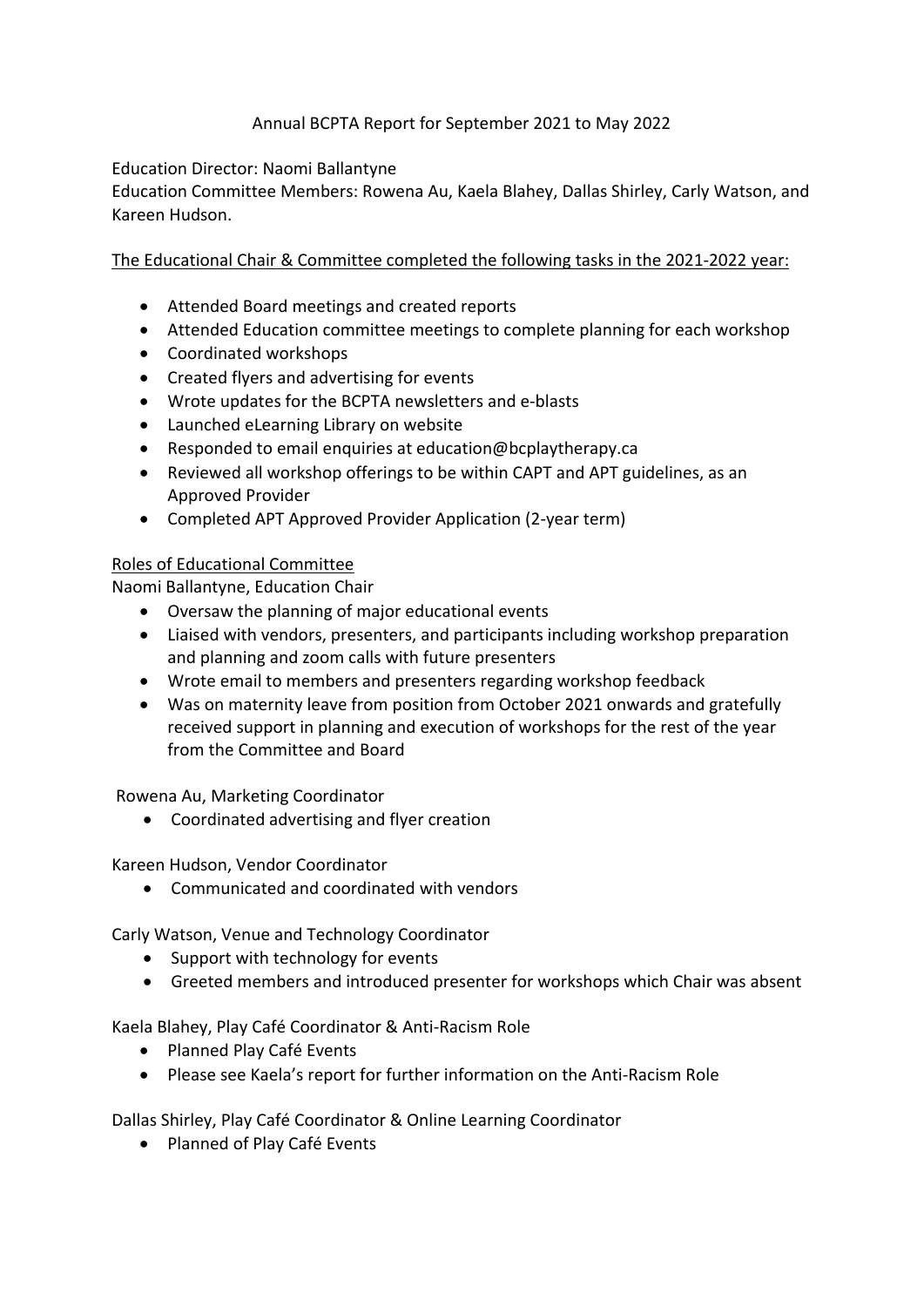## Annual BCPTA Report for September 2021 to May 2022

## Education Director: Naomi Ballantyne

Education Committee Members: Rowena Au, Kaela Blahey, Dallas Shirley, Carly Watson, and Kareen Hudson.

## The Educational Chair & Committee completed the following tasks in the 2021-2022 year:

- Attended Board meetings and created reports
- Attended Education committee meetings to complete planning for each workshop
- Coordinated workshops
- Created flyers and advertising for events
- Wrote updates for the BCPTA newsletters and e-blasts
- Launched eLearning Library on website
- Responded to email enquiries at education@bcplaytherapy.ca
- Reviewed all workshop offerings to be within CAPT and APT guidelines, as an Approved Provider
- Completed APT Approved Provider Application (2-year term)

## Roles of Educational Committee

Naomi Ballantyne, Education Chair

- Oversaw the planning of major educational events
- Liaised with vendors, presenters, and participants including workshop preparation and planning and zoom calls with future presenters
- Wrote email to members and presenters regarding workshop feedback
- Was on maternity leave from position from October 2021 onwards and gratefully received support in planning and execution of workshops for the rest of the year from the Committee and Board

Rowena Au, Marketing Coordinator

• Coordinated advertising and flyer creation

Kareen Hudson, Vendor Coordinator

• Communicated and coordinated with vendors

Carly Watson, Venue and Technology Coordinator

- Support with technology for events
- Greeted members and introduced presenter for workshops which Chair was absent

Kaela Blahey, Play Café Coordinator & Anti-Racism Role

- Planned Play Café Events
- Please see Kaela's report for further information on the Anti-Racism Role

Dallas Shirley, Play Café Coordinator & Online Learning Coordinator

• Planned of Play Café Events